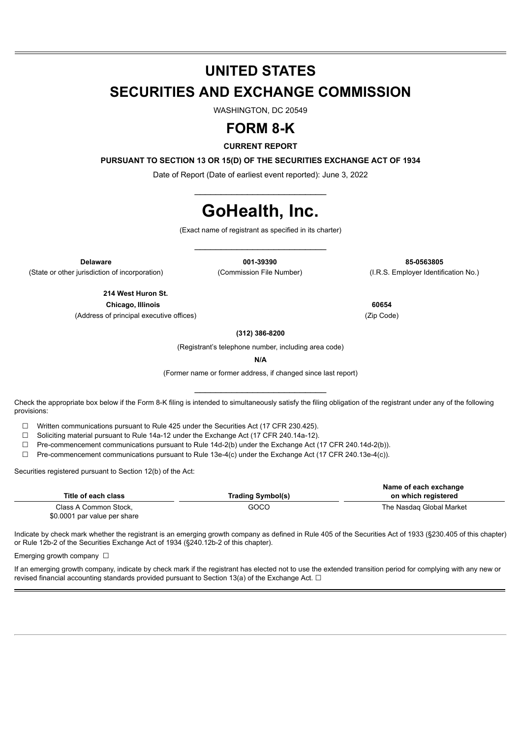## **UNITED STATES**

## **SECURITIES AND EXCHANGE COMMISSION**

WASHINGTON, DC 20549

## **FORM 8-K**

**CURRENT REPORT**

**PURSUANT TO SECTION 13 OR 15(D) OF THE SECURITIES EXCHANGE ACT OF 1934**

Date of Report (Date of earliest event reported): June 3, 2022 \_\_\_\_\_\_\_\_\_\_\_\_\_\_\_\_\_\_\_\_\_\_\_\_\_

# **GoHealth, Inc.**

(Exact name of registrant as specified in its charter) \_\_\_\_\_\_\_\_\_\_\_\_\_\_\_\_\_\_\_\_\_\_\_\_\_

(State or other jurisdiction of incorporation) (Commission File Number) (I.R.S. Employer Identification No.)

**Delaware 001-39390 85-0563805**

**214 West Huron St. Chicago, Illinois 60654**

(Address of principal executive offices) (Zip Code)

**(312) 386-8200**

(Registrant's telephone number, including area code)

**N/A**

(Former name or former address, if changed since last report) \_\_\_\_\_\_\_\_\_\_\_\_\_\_\_\_\_\_\_\_\_\_\_\_\_

Check the appropriate box below if the Form 8-K filing is intended to simultaneously satisfy the filing obligation of the registrant under any of the following provisions:

☐ Written communications pursuant to Rule 425 under the Securities Act (17 CFR 230.425).

☐ Soliciting material pursuant to Rule 14a-12 under the Exchange Act (17 CFR 240.14a-12).

☐ Pre-commencement communications pursuant to Rule 14d-2(b) under the Exchange Act (17 CFR 240.14d-2(b)).

☐ Pre-commencement communications pursuant to Rule 13e-4(c) under the Exchange Act (17 CFR 240.13e-4(c)).

Securities registered pursuant to Section 12(b) of the Act:

|                              |                          | Name of each exchange    |
|------------------------------|--------------------------|--------------------------|
| Title of each class          | <b>Trading Symbol(s)</b> | on which registered      |
| Class A Common Stock.        | GOCO                     | The Nasdag Global Market |
| \$0,0001 par value per share |                          |                          |

Indicate by check mark whether the registrant is an emerging growth company as defined in Rule 405 of the Securities Act of 1933 (§230.405 of this chapter) or Rule 12b-2 of the Securities Exchange Act of 1934 (§240.12b-2 of this chapter).

Emerging growth company  $\Box$ 

If an emerging growth company, indicate by check mark if the registrant has elected not to use the extended transition period for complying with any new or revised financial accounting standards provided pursuant to Section 13(a) of the Exchange Act.  $\Box$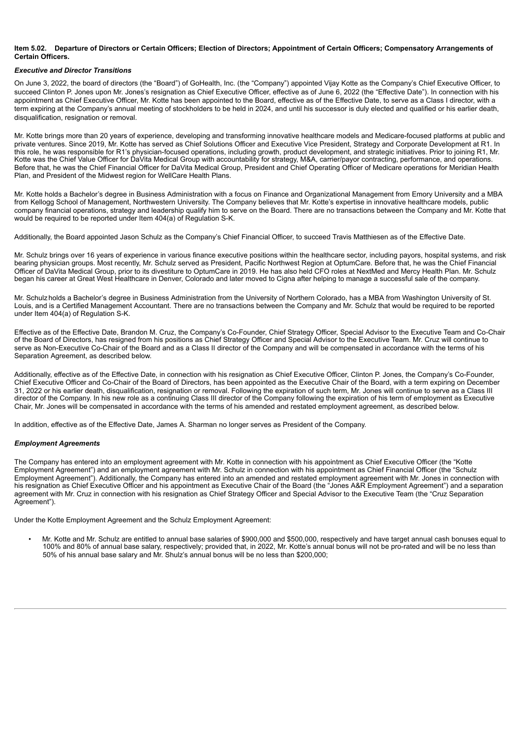#### **Item 5.02. Departure of Directors or Certain Officers; Election of Directors; Appointment of Certain Officers; Compensatory Arrangements of Certain Officers.**

#### *Executive and Director Transitions*

On June 3, 2022, the board of directors (the "Board") of GoHealth, Inc. (the "Company") appointed Vijay Kotte as the Company's Chief Executive Officer, to succeed Clinton P. Jones upon Mr. Jones's resignation as Chief Executive Officer, effective as of June 6, 2022 (the "Effective Date"). In connection with his appointment as Chief Executive Officer, Mr. Kotte has been appointed to the Board, effective as of the Effective Date, to serve as a Class I director, with a term expiring at the Company's annual meeting of stockholders to be held in 2024, and until his successor is duly elected and qualified or his earlier death, disqualification, resignation or removal.

Mr. Kotte brings more than 20 years of experience, developing and transforming innovative healthcare models and Medicare-focused platforms at public and private ventures. Since 2019, Mr. Kotte has served as Chief Solutions Officer and Executive Vice President, Strategy and Corporate Development at R1. In this role, he was responsible for R1's physician-focused operations, including growth, product development, and strategic initiatives. Prior to joining R1, Mr. Kotte was the Chief Value Officer for DaVita Medical Group with accountability for strategy, M&A, carrier/payor contracting, performance, and operations. Before that, he was the Chief Financial Officer for DaVita Medical Group, President and Chief Operating Officer of Medicare operations for Meridian Health Plan, and President of the Midwest region for WellCare Health Plans.

Mr. Kotte holds a Bachelor's degree in Business Administration with a focus on Finance and Organizational Management from Emory University and a MBA from Kellogg School of Management, Northwestern University. The Company believes that Mr. Kotte's expertise in innovative healthcare models, public company financial operations, strategy and leadership qualify him to serve on the Board. There are no transactions between the Company and Mr. Kotte that would be required to be reported under Item 404(a) of Regulation S-K.

Additionally, the Board appointed Jason Schulz as the Company's Chief Financial Officer, to succeed Travis Matthiesen as of the Effective Date.

Mr. Schulz brings over 16 years of experience in various finance executive positions within the healthcare sector, including payors, hospital systems, and risk bearing physician groups. Most recently, Mr. Schulz served as President, Pacific Northwest Region at OptumCare. Before that, he was the Chief Financial Officer of DaVita Medical Group, prior to its divestiture to OptumCare in 2019. He has also held CFO roles at NextMed and Mercy Health Plan. Mr. Schulz began his career at Great West Healthcare in Denver, Colorado and later moved to Cigna after helping to manage a successful sale of the company.

Mr. Schulz holds a Bachelor's degree in Business Administration from the University of Northern Colorado, has a MBA from Washington University of St. Louis, and is a Certified Management Accountant. There are no transactions between the Company and Mr. Schulz that would be required to be reported under Item 404(a) of Regulation S-K.

Effective as of the Effective Date, Brandon M. Cruz, the Company's Co-Founder, Chief Strategy Officer, Special Advisor to the Executive Team and Co-Chair of the Board of Directors, has resigned from his positions as Chief Strategy Officer and Special Advisor to the Executive Team. Mr. Cruz will continue to serve as Non-Executive Co-Chair of the Board and as a Class II director of the Company and will be compensated in accordance with the terms of his Separation Agreement, as described below.

Additionally, effective as of the Effective Date, in connection with his resignation as Chief Executive Officer, Clinton P. Jones, the Company's Co-Founder, Chief Executive Officer and Co-Chair of the Board of Directors, has been appointed as the Executive Chair of the Board, with a term expiring on December 31, 2022 or his earlier death, disqualification, resignation or removal. Following the expiration of such term, Mr. Jones will continue to serve as a Class III director of the Company. In his new role as a continuing Class III director of the Company following the expiration of his term of employment as Executive Chair, Mr. Jones will be compensated in accordance with the terms of his amended and restated employment agreement, as described below.

In addition, effective as of the Effective Date, James A. Sharman no longer serves as President of the Company.

#### *Employment Agreements*

The Company has entered into an employment agreement with Mr. Kotte in connection with his appointment as Chief Executive Officer (the "Kotte Employment Agreement") and an employment agreement with Mr. Schulz in connection with his appointment as Chief Financial Officer (the "Schulz Employment Agreement"). Additionally, the Company has entered into an amended and restated employment agreement with Mr. Jones in connection with his resignation as Chief Executive Officer and his appointment as Executive Chair of the Board (the "Jones A&R Employment Agreement") and a separation agreement with Mr. Cruz in connection with his resignation as Chief Strategy Officer and Special Advisor to the Executive Team (the "Cruz Separation Agreement").

Under the Kotte Employment Agreement and the Schulz Employment Agreement:

• Mr. Kotte and Mr. Schulz are entitled to annual base salaries of \$900,000 and \$500,000, respectively and have target annual cash bonuses equal to 100% and 80% of annual base salary, respectively; provided that, in 2022, Mr. Kotte's annual bonus will not be pro-rated and will be no less than 50% of his annual base salary and Mr. Shulz's annual bonus will be no less than \$200,000;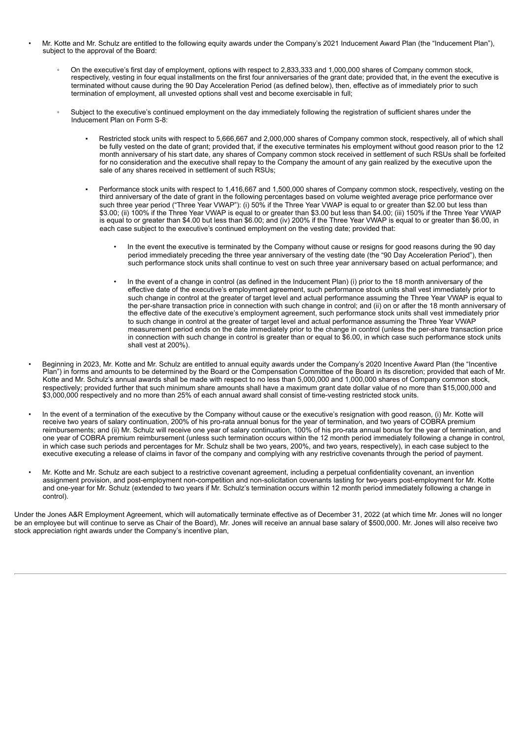- Mr. Kotte and Mr. Schulz are entitled to the following equity awards under the Company's 2021 Inducement Award Plan (the "Inducement Plan"), subject to the approval of the Board:
	- On the executive's first day of employment, options with respect to 2,833,333 and 1,000,000 shares of Company common stock, respectively, vesting in four equal installments on the first four anniversaries of the grant date; provided that, in the event the executive is terminated without cause during the 90 Day Acceleration Period (as defined below), then, effective as of immediately prior to such termination of employment, all unvested options shall vest and become exercisable in full;
	- Subject to the executive's continued employment on the day immediately following the registration of sufficient shares under the Inducement Plan on Form S-8:
		- Restricted stock units with respect to 5,666,667 and 2,000,000 shares of Company common stock, respectively, all of which shall be fully vested on the date of grant; provided that, if the executive terminates his employment without good reason prior to the 12 month anniversary of his start date, any shares of Company common stock received in settlement of such RSUs shall be forfeited for no consideration and the executive shall repay to the Company the amount of any gain realized by the executive upon the sale of any shares received in settlement of such RSUs;
		- Performance stock units with respect to 1,416,667 and 1,500,000 shares of Company common stock, respectively, vesting on the third anniversary of the date of grant in the following percentages based on volume weighted average price performance over such three year period ("Three Year VWAP"): (i) 50% if the Three Year VWAP is equal to or greater than \$2.00 but less than \$3.00; (ii) 100% if the Three Year VWAP is equal to or greater than \$3.00 but less than \$4.00; (iii) 150% if the Three Year VWAP is equal to or greater than \$4.00 but less than \$6.00; and (iv) 200% if the Three Year VWAP is equal to or greater than \$6.00, in each case subject to the executive's continued employment on the vesting date; provided that:
			- In the event the executive is terminated by the Company without cause or resigns for good reasons during the 90 day period immediately preceding the three year anniversary of the vesting date (the "90 Day Acceleration Period"), then such performance stock units shall continue to vest on such three year anniversary based on actual performance; and
			- In the event of a change in control (as defined in the Inducement Plan) (i) prior to the 18 month anniversary of the effective date of the executive's employment agreement, such performance stock units shall vest immediately prior to such change in control at the greater of target level and actual performance assuming the Three Year VWAP is equal to the per-share transaction price in connection with such change in control; and (ii) on or after the 18 month anniversary of the effective date of the executive's employment agreement, such performance stock units shall vest immediately prior to such change in control at the greater of target level and actual performance assuming the Three Year VWAP measurement period ends on the date immediately prior to the change in control (unless the per-share transaction price in connection with such change in control is greater than or equal to \$6.00, in which case such performance stock units shall vest at 200%).
- Beginning in 2023, Mr. Kotte and Mr. Schulz are entitled to annual equity awards under the Company's 2020 Incentive Award Plan (the "Incentive Plan") in forms and amounts to be determined by the Board or the Compensation Committee of the Board in its discretion; provided that each of Mr. Kotte and Mr. Schulz's annual awards shall be made with respect to no less than 5,000,000 and 1,000,000 shares of Company common stock, respectively; provided further that such minimum share amounts shall have a maximum grant date dollar value of no more than \$15,000,000 and \$3,000,000 respectively and no more than 25% of each annual award shall consist of time-vesting restricted stock units.
- In the event of a termination of the executive by the Company without cause or the executive's resignation with good reason, (i) Mr. Kotte will receive two years of salary continuation, 200% of his pro-rata annual bonus for the year of termination, and two years of COBRA premium reimbursements; and (ii) Mr. Schulz will receive one year of salary continuation, 100% of his pro-rata annual bonus for the year of termination, and one year of COBRA premium reimbursement (unless such termination occurs within the 12 month period immediately following a change in control, in which case such periods and percentages for Mr. Schulz shall be two years, 200%, and two years, respectively), in each case subject to the executive executing a release of claims in favor of the company and complying with any restrictive covenants through the period of payment.
- Mr. Kotte and Mr. Schulz are each subject to a restrictive covenant agreement, including a perpetual confidentiality covenant, an invention assignment provision, and post-employment non-competition and non-solicitation covenants lasting for two-years post-employment for Mr. Kotte and one-year for Mr. Schulz (extended to two years if Mr. Schulz's termination occurs within 12 month period immediately following a change in control).

Under the Jones A&R Employment Agreement, which will automatically terminate effective as of December 31, 2022 (at which time Mr. Jones will no longer be an employee but will continue to serve as Chair of the Board), Mr. Jones will receive an annual base salary of \$500,000. Mr. Jones will also receive two stock appreciation right awards under the Company's incentive plan,